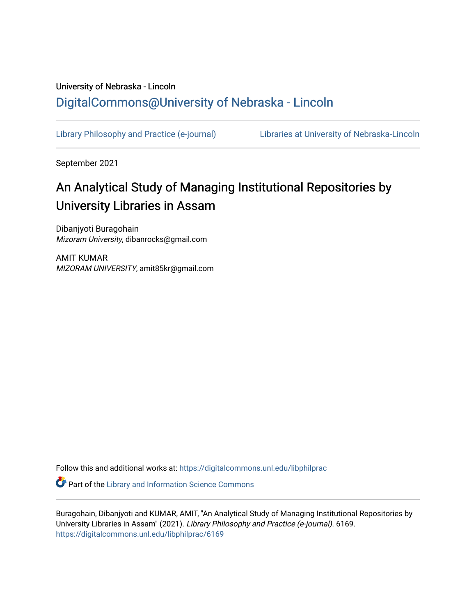## University of Nebraska - Lincoln [DigitalCommons@University of Nebraska - Lincoln](https://digitalcommons.unl.edu/)

[Library Philosophy and Practice \(e-journal\)](https://digitalcommons.unl.edu/libphilprac) [Libraries at University of Nebraska-Lincoln](https://digitalcommons.unl.edu/libraries) 

September 2021

# An Analytical Study of Managing Institutional Repositories by University Libraries in Assam

Dibanjyoti Buragohain Mizoram University, dibanrocks@gmail.com

AMIT KUMAR MIZORAM UNIVERSITY, amit85kr@gmail.com

Follow this and additional works at: [https://digitalcommons.unl.edu/libphilprac](https://digitalcommons.unl.edu/libphilprac?utm_source=digitalcommons.unl.edu%2Flibphilprac%2F6169&utm_medium=PDF&utm_campaign=PDFCoverPages) 

**Part of the Library and Information Science Commons** 

Buragohain, Dibanjyoti and KUMAR, AMIT, "An Analytical Study of Managing Institutional Repositories by University Libraries in Assam" (2021). Library Philosophy and Practice (e-journal). 6169. [https://digitalcommons.unl.edu/libphilprac/6169](https://digitalcommons.unl.edu/libphilprac/6169?utm_source=digitalcommons.unl.edu%2Flibphilprac%2F6169&utm_medium=PDF&utm_campaign=PDFCoverPages)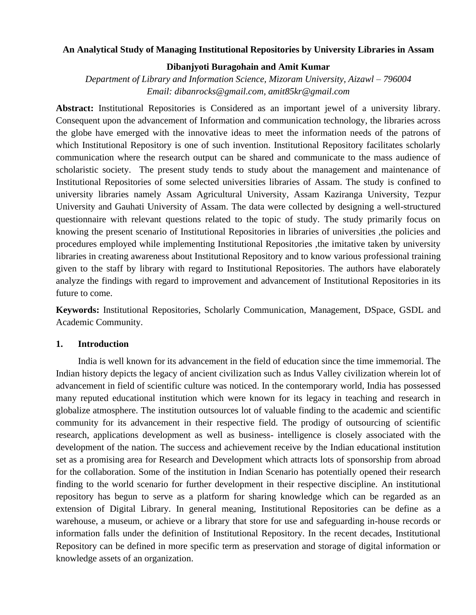#### **An Analytical Study of Managing Institutional Repositories by University Libraries in Assam**

#### **Dibanjyoti Buragohain and Amit Kumar**

*Department of Library and Information Science, Mizoram University, Aizawl – 796004 Email: dibanrocks@gmail.com, amit85kr@gmail.com*

**Abstract:** Institutional Repositories is Considered as an important jewel of a university library. Consequent upon the advancement of Information and communication technology, the libraries across the globe have emerged with the innovative ideas to meet the information needs of the patrons of which Institutional Repository is one of such invention. Institutional Repository facilitates scholarly communication where the research output can be shared and communicate to the mass audience of scholaristic society. The present study tends to study about the management and maintenance of Institutional Repositories of some selected universities libraries of Assam. The study is confined to university libraries namely Assam Agricultural University, Assam Kaziranga University, Tezpur University and Gauhati University of Assam. The data were collected by designing a well-structured questionnaire with relevant questions related to the topic of study. The study primarily focus on knowing the present scenario of Institutional Repositories in libraries of universities ,the policies and procedures employed while implementing Institutional Repositories ,the imitative taken by university libraries in creating awareness about Institutional Repository and to know various professional training given to the staff by library with regard to Institutional Repositories. The authors have elaborately analyze the findings with regard to improvement and advancement of Institutional Repositories in its future to come.

**Keywords:** Institutional Repositories, Scholarly Communication, Management, DSpace, GSDL and Academic Community.

#### **1. Introduction**

India is well known for its advancement in the field of education since the time immemorial. The Indian history depicts the legacy of ancient civilization such as Indus Valley civilization wherein lot of advancement in field of scientific culture was noticed. In the contemporary world, India has possessed many reputed educational institution which were known for its legacy in teaching and research in globalize atmosphere. The institution outsources lot of valuable finding to the academic and scientific community for its advancement in their respective field. The prodigy of outsourcing of scientific research, applications development as well as business- intelligence is closely associated with the development of the nation. The success and achievement receive by the Indian educational institution set as a promising area for Research and Development which attracts lots of sponsorship from abroad for the collaboration. Some of the institution in Indian Scenario has potentially opened their research finding to the world scenario for further development in their respective discipline. An institutional repository has begun to serve as a platform for sharing knowledge which can be regarded as an extension of Digital Library. In general meaning, Institutional Repositories can be define as a warehouse, a museum, or achieve or a library that store for use and safeguarding in-house records or information falls under the definition of Institutional Repository. In the recent decades, Institutional Repository can be defined in more specific term as preservation and storage of digital information or knowledge assets of an organization.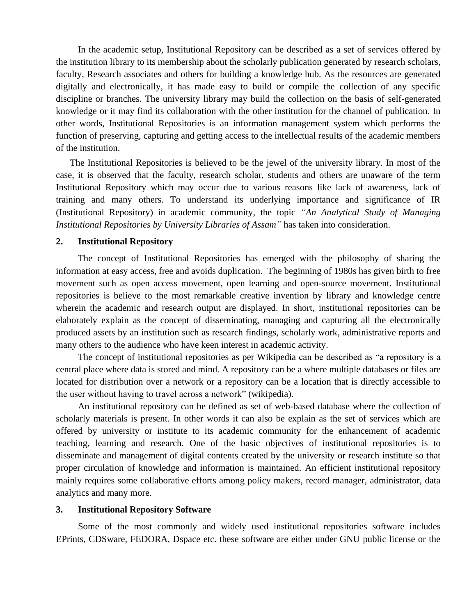In the academic setup, Institutional Repository can be described as a set of services offered by the institution library to its membership about the scholarly publication generated by research scholars, faculty, Research associates and others for building a knowledge hub. As the resources are generated digitally and electronically, it has made easy to build or compile the collection of any specific discipline or branches. The university library may build the collection on the basis of self-generated knowledge or it may find its collaboration with the other institution for the channel of publication. In other words, Institutional Repositories is an information management system which performs the function of preserving, capturing and getting access to the intellectual results of the academic members of the institution.

The Institutional Repositories is believed to be the jewel of the university library. In most of the case, it is observed that the faculty, research scholar, students and others are unaware of the term Institutional Repository which may occur due to various reasons like lack of awareness, lack of training and many others. To understand its underlying importance and significance of IR (Institutional Repository) in academic community, the topic *"An Analytical Study of Managing Institutional Repositories by University Libraries of Assam"* has taken into consideration.

#### **2. Institutional Repository**

The concept of Institutional Repositories has emerged with the philosophy of sharing the information at easy access, free and avoids duplication. The beginning of 1980s has given birth to free movement such as open access movement, open learning and open-source movement. Institutional repositories is believe to the most remarkable creative invention by library and knowledge centre wherein the academic and research output are displayed. In short, institutional repositories can be elaborately explain as the concept of disseminating, managing and capturing all the electronically produced assets by an institution such as research findings, scholarly work, administrative reports and many others to the audience who have keen interest in academic activity.

The concept of institutional repositories as per Wikipedia can be described as "a repository is a central place where data is stored and mind. A repository can be a where multiple databases or files are located for distribution over a network or a repository can be a location that is directly accessible to the user without having to travel across a network" (wikipedia).

An institutional repository can be defined as set of web-based database where the collection of scholarly materials is present. In other words it can also be explain as the set of services which are offered by university or institute to its academic community for the enhancement of academic teaching, learning and research. One of the basic objectives of institutional repositories is to disseminate and management of digital contents created by the university or research institute so that proper circulation of knowledge and information is maintained. An efficient institutional repository mainly requires some collaborative efforts among policy makers, record manager, administrator, data analytics and many more.

#### **3. Institutional Repository Software**

Some of the most commonly and widely used institutional repositories software includes EPrints, CDSware, FEDORA, Dspace etc. these software are either under GNU public license or the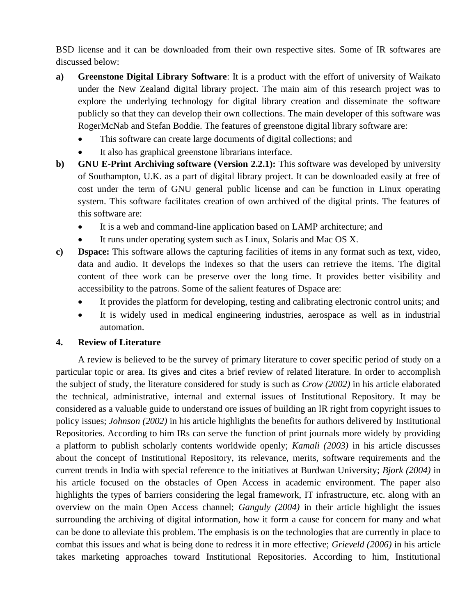BSD license and it can be downloaded from their own respective sites. Some of IR softwares are discussed below:

- **a) Greenstone Digital Library Software**: It is a product with the effort of university of Waikato under the New Zealand digital library project. The main aim of this research project was to explore the underlying technology for digital library creation and disseminate the software publicly so that they can develop their own collections. The main developer of this software was RogerMcNab and Stefan Boddie. The features of greenstone digital library software are:
	- This software can create large documents of digital collections; and
	- It also has graphical greenstone librarians interface.
- **b) GNU E-Print Archiving software (Version 2.2.1):** This software was developed by university of Southampton, U.K. as a part of digital library project. It can be downloaded easily at free of cost under the term of GNU general public license and can be function in Linux operating system. This software facilitates creation of own archived of the digital prints. The features of this software are:
	- It is a web and command-line application based on LAMP architecture; and
	- It runs under operating system such as Linux, Solaris and Mac OS X.
- **c) Dspace:** This software allows the capturing facilities of items in any format such as text, video, data and audio. It develops the indexes so that the users can retrieve the items. The digital content of thee work can be preserve over the long time. It provides better visibility and accessibility to the patrons. Some of the salient features of Dspace are:
	- It provides the platform for developing, testing and calibrating electronic control units; and
	- It is widely used in medical engineering industries, aerospace as well as in industrial automation.

#### **4. Review of Literature**

A review is believed to be the survey of primary literature to cover specific period of study on a particular topic or area. Its gives and cites a brief review of related literature. In order to accomplish the subject of study, the literature considered for study is such as *Crow (2002)* in his article elaborated the technical, administrative, internal and external issues of Institutional Repository. It may be considered as a valuable guide to understand ore issues of building an IR right from copyright issues to policy issues; *Johnson (2002)* in his article highlights the benefits for authors delivered by Institutional Repositories. According to him IRs can serve the function of print journals more widely by providing a platform to publish scholarly contents worldwide openly; *Kamali (2003)* in his article discusses about the concept of Institutional Repository, its relevance, merits, software requirements and the current trends in India with special reference to the initiatives at Burdwan University; *Bjork (2004)* in his article focused on the obstacles of Open Access in academic environment. The paper also highlights the types of barriers considering the legal framework, IT infrastructure, etc. along with an overview on the main Open Access channel; *Ganguly (2004)* in their article highlight the issues surrounding the archiving of digital information, how it form a cause for concern for many and what can be done to alleviate this problem. The emphasis is on the technologies that are currently in place to combat this issues and what is being done to redress it in more effective; *Grieveld (2006)* in his article takes marketing approaches toward Institutional Repositories. According to him, Institutional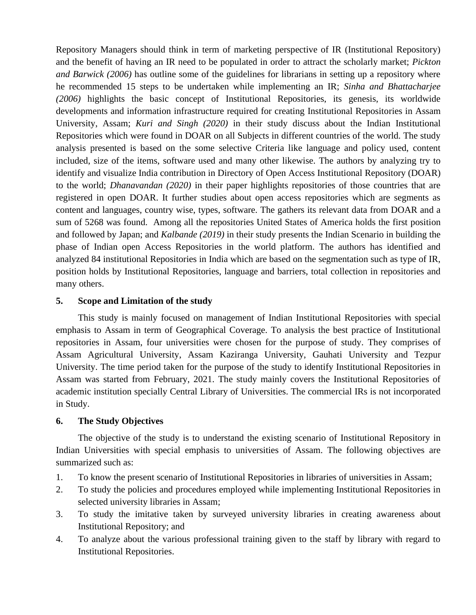Repository Managers should think in term of marketing perspective of IR (Institutional Repository) and the benefit of having an IR need to be populated in order to attract the scholarly market; *Pickton and Barwick (2006)* has outline some of the guidelines for librarians in setting up a repository where he recommended 15 steps to be undertaken while implementing an IR; *Sinha and Bhattacharjee (2006)* highlights the basic concept of Institutional Repositories, its genesis, its worldwide developments and information infrastructure required for creating Institutional Repositories in Assam University, Assam; *Kuri and Singh (2020)* in their study discuss about the Indian Institutional Repositories which were found in DOAR on all Subjects in different countries of the world. The study analysis presented is based on the some selective Criteria like language and policy used, content included, size of the items, software used and many other likewise. The authors by analyzing try to identify and visualize India contribution in Directory of Open Access Institutional Repository (DOAR) to the world; *Dhanavandan (2020)* in their paper highlights repositories of those countries that are registered in open DOAR. It further studies about open access repositories which are segments as content and languages, country wise, types, software. The gathers its relevant data from DOAR and a sum of 5268 was found. Among all the repositories United States of America holds the first position and followed by Japan; and *Kalbande (2019)* in their study presents the Indian Scenario in building the phase of Indian open Access Repositories in the world platform. The authors has identified and analyzed 84 institutional Repositories in India which are based on the segmentation such as type of IR, position holds by Institutional Repositories, language and barriers, total collection in repositories and many others.

#### **5. Scope and Limitation of the study**

This study is mainly focused on management of Indian Institutional Repositories with special emphasis to Assam in term of Geographical Coverage. To analysis the best practice of Institutional repositories in Assam, four universities were chosen for the purpose of study. They comprises of Assam Agricultural University, Assam Kaziranga University, Gauhati University and Tezpur University. The time period taken for the purpose of the study to identify Institutional Repositories in Assam was started from February, 2021. The study mainly covers the Institutional Repositories of academic institution specially Central Library of Universities. The commercial IRs is not incorporated in Study.

#### **6. The Study Objectives**

The objective of the study is to understand the existing scenario of Institutional Repository in Indian Universities with special emphasis to universities of Assam. The following objectives are summarized such as:

- 1. To know the present scenario of Institutional Repositories in libraries of universities in Assam;
- 2. To study the policies and procedures employed while implementing Institutional Repositories in selected university libraries in Assam;
- 3. To study the imitative taken by surveyed university libraries in creating awareness about Institutional Repository; and
- 4. To analyze about the various professional training given to the staff by library with regard to Institutional Repositories.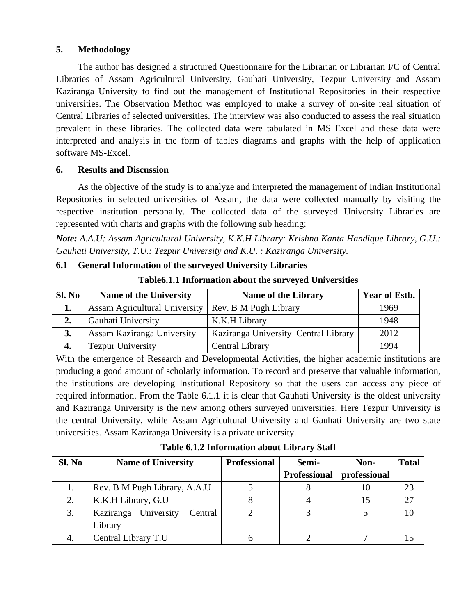## **5. Methodology**

The author has designed a structured Questionnaire for the Librarian or Librarian I/C of Central Libraries of Assam Agricultural University, Gauhati University, Tezpur University and Assam Kaziranga University to find out the management of Institutional Repositories in their respective universities. The Observation Method was employed to make a survey of on-site real situation of Central Libraries of selected universities. The interview was also conducted to assess the real situation prevalent in these libraries. The collected data were tabulated in MS Excel and these data were interpreted and analysis in the form of tables diagrams and graphs with the help of application software MS-Excel.

#### **6. Results and Discussion**

As the objective of the study is to analyze and interpreted the management of Indian Institutional Repositories in selected universities of Assam, the data were collected manually by visiting the respective institution personally. The collected data of the surveyed University Libraries are represented with charts and graphs with the following sub heading:

*Note: A.A.U: Assam Agricultural University, K.K.H Library: Krishna Kanta Handique Library, G.U.: Gauhati University, T.U.: Tezpur University and K.U. : Kaziranga University.*

## **6.1 General Information of the surveyed University Libraries**

| Sl. No | <b>Name of the University</b>                         | <b>Name of the Library</b>           | <b>Year of Estb.</b> |
|--------|-------------------------------------------------------|--------------------------------------|----------------------|
| 1.     | Assam Agricultural University   Rev. B M Pugh Library |                                      | 1969                 |
| 2.     | Gauhati University                                    | K.K.H Library                        | 1948                 |
| 3.     | Assam Kaziranga University                            | Kaziranga University Central Library | 2012                 |
|        | <b>Tezpur University</b>                              | <b>Central Library</b>               | 1994                 |

**Table6.1.1 Information about the surveyed Universities**

With the emergence of Research and Developmental Activities, the higher academic institutions are producing a good amount of scholarly information. To record and preserve that valuable information, the institutions are developing Institutional Repository so that the users can access any piece of required information. From the Table 6.1.1 it is clear that Gauhati University is the oldest university and Kaziranga University is the new among others surveyed universities. Here Tezpur University is the central University, while Assam Agricultural University and Gauhati University are two state universities. Assam Kaziranga University is a private university.

**Table 6.1.2 Information about Library Staff**

| Sl. No | <b>Name of University</b>       | <b>Professional</b> | Semi-        | Non-         | <b>Total</b> |
|--------|---------------------------------|---------------------|--------------|--------------|--------------|
|        |                                 |                     | Professional | professional |              |
|        | Rev. B M Pugh Library, A.A.U    |                     |              |              | 23           |
| 2.     | K.K.H Library, G.U              |                     |              |              | 27           |
| 3.     | Kaziranga University<br>Central |                     |              |              |              |
|        | Library                         |                     |              |              |              |
|        | Central Library T.U             |                     |              |              |              |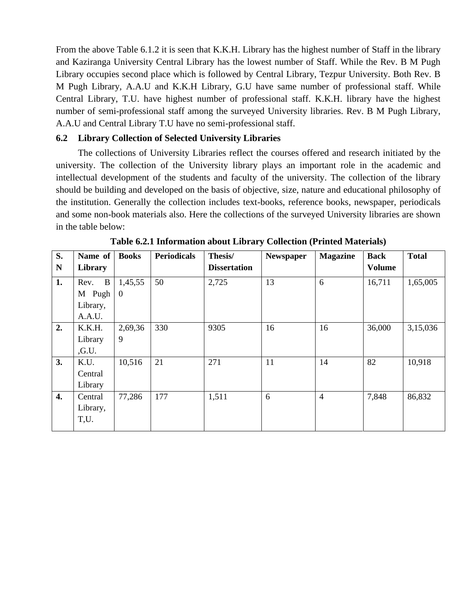From the above Table 6.1.2 it is seen that K.K.H. Library has the highest number of Staff in the library and Kaziranga University Central Library has the lowest number of Staff. While the Rev. B M Pugh Library occupies second place which is followed by Central Library, Tezpur University. Both Rev. B M Pugh Library, A.A.U and K.K.H Library, G.U have same number of professional staff. While Central Library, T.U. have highest number of professional staff. K.K.H. library have the highest number of semi-professional staff among the surveyed University libraries. Rev. B M Pugh Library, A.A.U and Central Library T.U have no semi-professional staff.

#### **6.2 Library Collection of Selected University Libraries**

The collections of University Libraries reflect the courses offered and research initiated by the university. The collection of the University library plays an important role in the academic and intellectual development of the students and faculty of the university. The collection of the library should be building and developed on the basis of objective, size, nature and educational philosophy of the institution. Generally the collection includes text-books, reference books, newspaper, periodicals and some non-book materials also. Here the collections of the surveyed University libraries are shown in the table below:

| S.<br>N          | Name of<br>Library | <b>Books</b> | <b>Periodicals</b> | Thesis/<br><b>Dissertation</b> | <b>Newspaper</b> | <b>Magazine</b> | <b>Back</b><br><b>Volume</b> | <b>Total</b> |
|------------------|--------------------|--------------|--------------------|--------------------------------|------------------|-----------------|------------------------------|--------------|
| 1.               | $\bf{B}$<br>Rev.   | 1,45,55      | 50                 | 2,725                          | 13               | 6               | 16,711                       | 1,65,005     |
|                  | M Pugh             | $\mathbf{0}$ |                    |                                |                  |                 |                              |              |
|                  | Library,           |              |                    |                                |                  |                 |                              |              |
|                  | A.A.U.             |              |                    |                                |                  |                 |                              |              |
| 2.               | K.K.H.             | 2,69,36      | 330                | 9305                           | 16               | 16              | 36,000                       | 3,15,036     |
|                  | Library            | 9            |                    |                                |                  |                 |                              |              |
|                  | , G.U.             |              |                    |                                |                  |                 |                              |              |
| 3.               | K.U.               | 10,516       | 21                 | 271                            | 11               | 14              | 82                           | 10,918       |
|                  | Central            |              |                    |                                |                  |                 |                              |              |
|                  | Library            |              |                    |                                |                  |                 |                              |              |
| $\overline{4}$ . | Central            | 77,286       | 177                | 1,511                          | 6                | $\overline{4}$  | 7,848                        | 86,832       |
|                  | Library,           |              |                    |                                |                  |                 |                              |              |
|                  | T,U.               |              |                    |                                |                  |                 |                              |              |
|                  |                    |              |                    |                                |                  |                 |                              |              |

**Table 6.2.1 Information about Library Collection (Printed Materials)**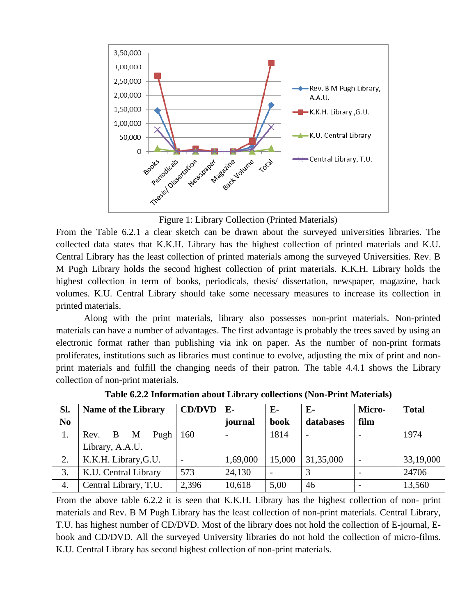

Figure 1: Library Collection (Printed Materials)

From the Table 6.2.1 a clear sketch can be drawn about the surveyed universities libraries. The collected data states that K.K.H. Library has the highest collection of printed materials and K.U. Central Library has the least collection of printed materials among the surveyed Universities. Rev. B M Pugh Library holds the second highest collection of print materials. K.K.H. Library holds the highest collection in term of books, periodicals, thesis/ dissertation, newspaper, magazine, back volumes. K.U. Central Library should take some necessary measures to increase its collection in printed materials.

Along with the print materials, library also possesses non-print materials. Non-printed materials can have a number of advantages. The first advantage is probably the trees saved by using an electronic format rather than publishing via ink on paper. As the number of non-print formats proliferates, institutions such as libraries must continue to evolve, adjusting the mix of print and nonprint materials and fulfill the changing needs of their patron. The table 4.4.1 shows the Library collection of non-print materials.

| Sl.            | <b>Name of the Library</b>        | <b>CD/DVD</b>            | $E-$     | $E-$   | E-                       | Micro-                   | <b>Total</b> |
|----------------|-----------------------------------|--------------------------|----------|--------|--------------------------|--------------------------|--------------|
| N <sub>0</sub> |                                   |                          | journal  | book   | databases                | film                     |              |
| 1.             | Pugh<br>Rev.<br>B<br>$\mathbf{M}$ | 160                      |          | 1814   | $\overline{\phantom{a}}$ |                          | 1974         |
|                | Library, A.A.U.                   |                          |          |        |                          |                          |              |
| 2.             | K.K.H. Library, G.U.              | $\overline{\phantom{a}}$ | 1,69,000 | 15,000 | 31,35,000                | $\overline{\phantom{0}}$ | 33,19,000    |
| 3.             | K.U. Central Library              | 573                      | 24,130   |        | 3                        |                          | 24706        |
| 4.             | Central Library, T,U.             | 2,396                    | 10,618   | 5,00   | 46                       |                          | 13,560       |

**Table 6.2.2 Information about Library collections (Non-Print Materials)**

From the above table 6.2.2 it is seen that K.K.H. Library has the highest collection of non- print materials and Rev. B M Pugh Library has the least collection of non-print materials. Central Library, T.U. has highest number of CD/DVD. Most of the library does not hold the collection of E-journal, Ebook and CD/DVD. All the surveyed University libraries do not hold the collection of micro-films. K.U. Central Library has second highest collection of non-print materials.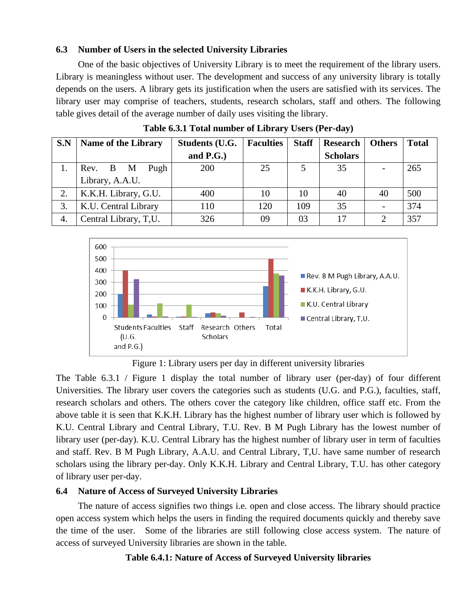#### **6.3 Number of Users in the selected University Libraries**

One of the basic objectives of University Library is to meet the requirement of the library users. Library is meaningless without user. The development and success of any university library is totally depends on the users. A library gets its justification when the users are satisfied with its services. The library user may comprise of teachers, students, research scholars, staff and others. The following table gives detail of the average number of daily uses visiting the library.

| S.N | Name of the Library   | <b>Students (U.G.</b> | <b>Faculties</b> | <b>Staff</b> | <b>Research</b> | <b>Others</b>            | <b>Total</b> |
|-----|-----------------------|-----------------------|------------------|--------------|-----------------|--------------------------|--------------|
|     |                       | and $P.G.$ )          |                  |              | <b>Scholars</b> |                          |              |
|     | Pugh<br>Rev. B M      | 200                   | 25               |              | 35              | $\overline{\phantom{a}}$ | 265          |
|     | Library, A.A.U.       |                       |                  |              |                 |                          |              |
| 2.  | K.K.H. Library, G.U.  | 400                   | 10               | 10           | 40              | 40                       | 500          |
| 3.  | K.U. Central Library  | 110                   | 120              | 109          | 35              | $\overline{\phantom{a}}$ | 374          |
| 4.  | Central Library, T,U. | 326                   | 09               | 03           | 17              | ി                        | 357          |

**Table 6.3.1 Total number of Library Users (Per-day)**



Figure 1: Library users per day in different university libraries

The Table 6.3.1 / Figure 1 display the total number of library user (per-day) of four different Universities. The library user covers the categories such as students (U.G. and P.G.), faculties, staff, research scholars and others. The others cover the category like children, office staff etc. From the above table it is seen that K.K.H. Library has the highest number of library user which is followed by K.U. Central Library and Central Library, T.U. Rev. B M Pugh Library has the lowest number of library user (per-day). K.U. Central Library has the highest number of library user in term of faculties and staff. Rev. B M Pugh Library, A.A.U. and Central Library, T,U. have same number of research scholars using the library per-day. Only K.K.H. Library and Central Library, T.U. has other category of library user per-day.

#### **6.4 Nature of Access of Surveyed University Libraries**

The nature of access signifies two things i.e. open and close access. The library should practice open access system which helps the users in finding the required documents quickly and thereby save the time of the user. Some of the libraries are still following close access system. The nature of access of surveyed University libraries are shown in the table.

## **Table 6.4.1: Nature of Access of Surveyed University libraries**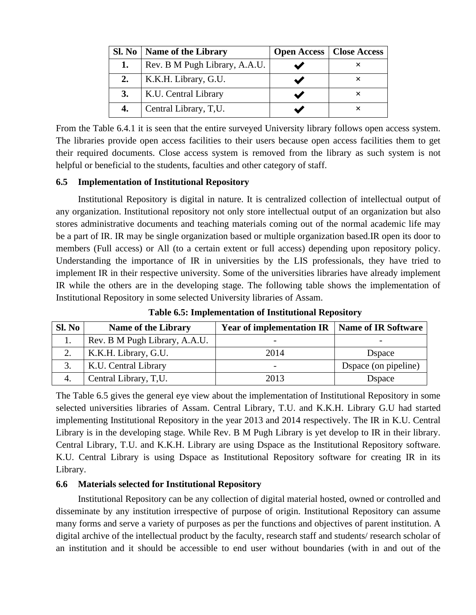| Sl. No | Name of the Library           | <b>Open Access</b>   Close Access |
|--------|-------------------------------|-----------------------------------|
| 1.     | Rev. B M Pugh Library, A.A.U. |                                   |
| 2.     | K.K.H. Library, G.U.          |                                   |
| 3.     | K.U. Central Library          |                                   |
| 4.     | Central Library, T,U.         |                                   |

From the Table 6.4.1 it is seen that the entire surveyed University library follows open access system. The libraries provide open access facilities to their users because open access facilities them to get their required documents. Close access system is removed from the library as such system is not helpful or beneficial to the students, faculties and other category of staff.

#### **6.5 Implementation of Institutional Repository**

Institutional Repository is digital in nature. It is centralized collection of intellectual output of any organization. Institutional repository not only store intellectual output of an organization but also stores administrative documents and teaching materials coming out of the normal academic life may be a part of IR. IR may be single organization based or multiple organization based.IR open its door to members (Full access) or All (to a certain extent or full access) depending upon repository policy. Understanding the importance of IR in universities by the LIS professionals, they have tried to implement IR in their respective university. Some of the universities libraries have already implement IR while the others are in the developing stage. The following table shows the implementation of Institutional Repository in some selected University libraries of Assam.

| Sl. No | <b>Name of the Library</b>    | <b>Year of implementation IR   Name of IR Software</b> |                      |
|--------|-------------------------------|--------------------------------------------------------|----------------------|
|        | Rev. B M Pugh Library, A.A.U. | -                                                      |                      |
|        | K.K.H. Library, G.U.          | 2014                                                   | <b>D</b> space       |
| 3.     | K.U. Central Library          | -                                                      | Dspace (on pipeline) |
|        | Central Library, T,U.         | 2013                                                   | <b>D</b> space       |

**Table 6.5: Implementation of Institutional Repository**

The Table 6.5 gives the general eye view about the implementation of Institutional Repository in some selected universities libraries of Assam. Central Library, T.U. and K.K.H. Library G.U had started implementing Institutional Repository in the year 2013 and 2014 respectively. The IR in K.U. Central Library is in the developing stage. While Rev. B M Pugh Library is yet develop to IR in their library. Central Library, T.U. and K.K.H. Library are using Dspace as the Institutional Repository software. K.U. Central Library is using Dspace as Institutional Repository software for creating IR in its Library.

#### **6.6 Materials selected for Institutional Repository**

Institutional Repository can be any collection of digital material hosted, owned or controlled and disseminate by any institution irrespective of purpose of origin. Institutional Repository can assume many forms and serve a variety of purposes as per the functions and objectives of parent institution. A digital archive of the intellectual product by the faculty, research staff and students/ research scholar of an institution and it should be accessible to end user without boundaries (with in and out of the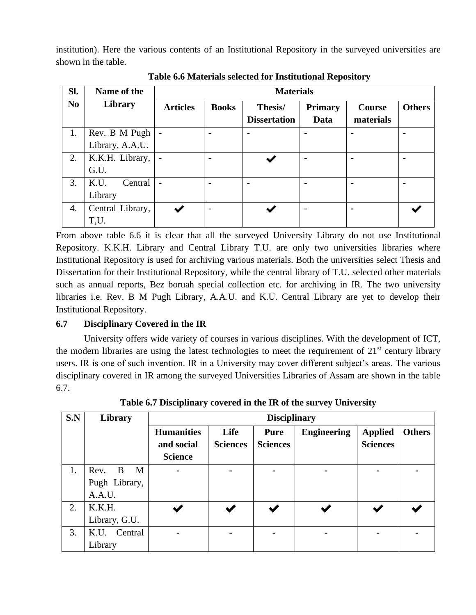institution). Here the various contents of an Institutional Repository in the surveyed universities are shown in the table.

| SI.            | Name of the      |                 | <b>Materials</b>         |                          |                |                          |               |
|----------------|------------------|-----------------|--------------------------|--------------------------|----------------|--------------------------|---------------|
| N <sub>0</sub> | Library          | <b>Articles</b> | <b>Books</b>             | Thesis/                  | <b>Primary</b> | <b>Course</b>            | <b>Others</b> |
|                |                  |                 |                          | <b>Dissertation</b>      | Data           | materials                |               |
| 1.             | Rev. B M Pugh    |                 |                          | $\overline{\phantom{0}}$ |                |                          |               |
|                | Library, A.A.U.  |                 |                          |                          |                |                          |               |
| 2.             | K.K.H. Library,  |                 |                          |                          |                |                          |               |
|                | G.U.             |                 |                          |                          |                |                          |               |
| 3.             | K.U.<br>Central  |                 |                          | $\overline{\phantom{0}}$ |                | $\overline{\phantom{0}}$ |               |
|                | Library          |                 |                          |                          |                |                          |               |
| 4.             | Central Library, |                 | $\overline{\phantom{0}}$ |                          |                | $\blacksquare$           |               |
|                | T,U.             |                 |                          |                          |                |                          |               |

**Table 6.6 Materials selected for Institutional Repository**

From above table 6.6 it is clear that all the surveyed University Library do not use Institutional Repository. K.K.H. Library and Central Library T.U. are only two universities libraries where Institutional Repository is used for archiving various materials. Both the universities select Thesis and Dissertation for their Institutional Repository, while the central library of T.U. selected other materials such as annual reports, Bez boruah special collection etc. for archiving in IR. The two university libraries i.e. Rev. B M Pugh Library, A.A.U. and K.U. Central Library are yet to develop their Institutional Repository.

## **6.7 Disciplinary Covered in the IR**

University offers wide variety of courses in various disciplines. With the development of ICT, the modern libraries are using the latest technologies to meet the requirement of  $21<sup>st</sup>$  century library users. IR is one of such invention. IR in a University may cover different subject's areas. The various disciplinary covered in IR among the surveyed Universities Libraries of Assam are shown in the table 6.7.

| S.N | Library        | <b>Disciplinary</b>                               |                         |                                |                    |                                   |               |
|-----|----------------|---------------------------------------------------|-------------------------|--------------------------------|--------------------|-----------------------------------|---------------|
|     |                | <b>Humanities</b><br>and social<br><b>Science</b> | Life<br><b>Sciences</b> | <b>Pure</b><br><b>Sciences</b> | <b>Engineering</b> | <b>Applied</b><br><b>Sciences</b> | <b>Others</b> |
| 1.  | Rev.<br>B<br>M |                                                   |                         | ۰                              |                    |                                   |               |
|     | Pugh Library,  |                                                   |                         |                                |                    |                                   |               |
|     | A.A.U.         |                                                   |                         |                                |                    |                                   |               |
| 2.  | K.K.H.         |                                                   |                         |                                |                    |                                   |               |
|     | Library, G.U.  |                                                   |                         |                                |                    |                                   |               |
| 3.  | K.U. Central   |                                                   |                         | $\blacksquare$                 |                    |                                   |               |
|     | Library        |                                                   |                         |                                |                    |                                   |               |

**Table 6.7 Disciplinary covered in the IR of the survey University**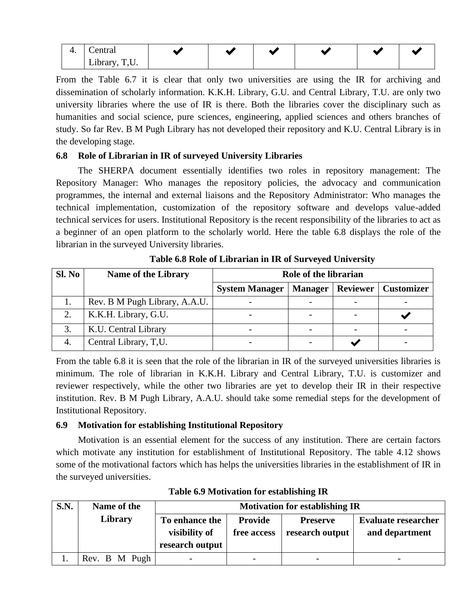| . . |                                      |  |  |  |
|-----|--------------------------------------|--|--|--|
|     | $\cdot$<br><b>LIVIUI</b><br><u>.</u> |  |  |  |

From the Table 6.7 it is clear that only two universities are using the IR for archiving and dissemination of scholarly information. K.K.H. Library, G.U. and Central Library, T.U. are only two university libraries where the use of IR is there. Both the libraries cover the disciplinary such as humanities and social science, pure sciences, engineering, applied sciences and others branches of study. So far Rev. B M Pugh Library has not developed their repository and K.U. Central Library is in the developing stage.

#### **6.8 Role of Librarian in IR of surveyed University Libraries**

The SHERPA document essentially identifies two roles in repository management: The Repository Manager: Who manages the repository policies, the advocacy and communication programmes, the internal and external liaisons and the Repository Administrator: Who manages the technical implementation, customization of the repository software and develops value-added technical services for users. Institutional Repository is the recent responsibility of the libraries to act as a beginner of an open platform to the scholarly world. Here the table 6.8 displays the role of the librarian in the surveyed University libraries.

| Sl. No | <b>Name of the Library</b>    | Role of the librarian |                |                 |                   |  |
|--------|-------------------------------|-----------------------|----------------|-----------------|-------------------|--|
|        |                               | <b>System Manager</b> | <b>Manager</b> | <b>Reviewer</b> | <b>Customizer</b> |  |
|        | Rev. B M Pugh Library, A.A.U. |                       |                |                 |                   |  |
| 2.     | K.K.H. Library, G.U.          |                       |                |                 |                   |  |
| 3.     | K.U. Central Library          |                       |                |                 |                   |  |
|        | Central Library, T,U.         |                       |                |                 |                   |  |

**Table 6.8 Role of Librarian in IR of Surveyed University**

From the table 6.8 it is seen that the role of the librarian in IR of the surveyed universities libraries is minimum. The role of librarian in K.K.H. Library and Central Library, T.U. is customizer and reviewer respectively, while the other two libraries are yet to develop their IR in their respective institution. Rev. B M Pugh Library, A.A.U. should take some remedial steps for the development of Institutional Repository.

#### **6.9 Motivation for establishing Institutional Repository**

Motivation is an essential element for the success of any institution. There are certain factors which motivate any institution for establishment of Institutional Repository. The table 4.12 shows some of the motivational factors which has helps the universities libraries in the establishment of IR in the surveyed universities.

| <b>S.N.</b> | Name of the   | <b>Motivation for establishing IR</b> |                          |                          |                            |  |  |
|-------------|---------------|---------------------------------------|--------------------------|--------------------------|----------------------------|--|--|
|             | Library       | To enhance the                        | <b>Provide</b>           | <b>Preserve</b>          | <b>Evaluate researcher</b> |  |  |
|             |               | visibility of                         | free access              | research output          | and department             |  |  |
|             |               | research output                       |                          |                          |                            |  |  |
|             | Rev. B M Pugh | $\overline{\phantom{a}}$              | $\overline{\phantom{a}}$ | $\overline{\phantom{a}}$ |                            |  |  |

**Table 6.9 Motivation for establishing IR**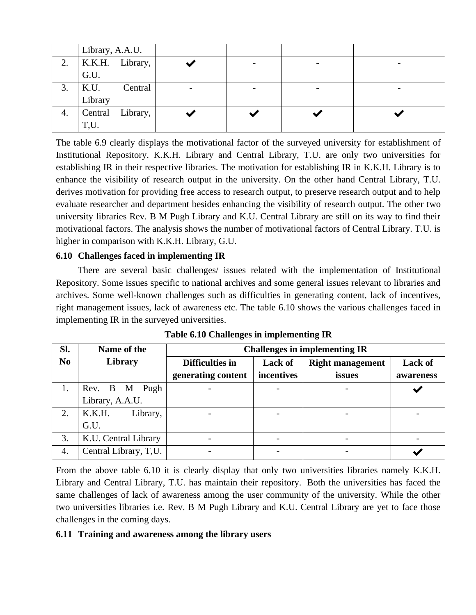|    | Library, A.A.U. |                      |  |                          |  |
|----|-----------------|----------------------|--|--------------------------|--|
|    |                 | 2.   K.K.H. Library, |  |                          |  |
|    | G.U.            |                      |  |                          |  |
| 3. | K.U.            | Central              |  | $\overline{\phantom{0}}$ |  |
|    | Library         |                      |  |                          |  |
| 4. |                 | Central Library,     |  |                          |  |
|    | T,U.            |                      |  |                          |  |

The table 6.9 clearly displays the motivational factor of the surveyed university for establishment of Institutional Repository. K.K.H. Library and Central Library, T.U. are only two universities for establishing IR in their respective libraries. The motivation for establishing IR in K.K.H. Library is to enhance the visibility of research output in the university. On the other hand Central Library, T.U. derives motivation for providing free access to research output, to preserve research output and to help evaluate researcher and department besides enhancing the visibility of research output. The other two university libraries Rev. B M Pugh Library and K.U. Central Library are still on its way to find their motivational factors. The analysis shows the number of motivational factors of Central Library. T.U. is higher in comparison with K.K.H. Library, G.U.

#### **6.10 Challenges faced in implementing IR**

There are several basic challenges/ issues related with the implementation of Institutional Repository. Some issues specific to national archives and some general issues relevant to libraries and archives. Some well-known challenges such as difficulties in generating content, lack of incentives, right management issues, lack of awareness etc. The table 6.10 shows the various challenges faced in implementing IR in the surveyed universities.

| Sl.            | Name of the           | <b>Challenges in implementing IR</b> |                |                         |           |  |
|----------------|-----------------------|--------------------------------------|----------------|-------------------------|-----------|--|
| N <sub>0</sub> | Library               | Difficulties in                      | <b>Lack of</b> | <b>Right management</b> | Lack of   |  |
|                |                       | generating content                   | incentives     | issues                  | awareness |  |
| 1.             | Rev. B M Pugh         |                                      |                |                         |           |  |
|                | Library, A.A.U.       |                                      |                |                         |           |  |
| 2.             | K.K.H.<br>Library,    |                                      |                |                         |           |  |
|                | G.U.                  |                                      |                |                         |           |  |
| 3.             | K.U. Central Library  |                                      |                |                         |           |  |
| 4.             | Central Library, T,U. |                                      |                |                         |           |  |

**Table 6.10 Challenges in implementing IR**

From the above table 6.10 it is clearly display that only two universities libraries namely K.K.H. Library and Central Library, T.U. has maintain their repository. Both the universities has faced the same challenges of lack of awareness among the user community of the university. While the other two universities libraries i.e. Rev. B M Pugh Library and K.U. Central Library are yet to face those challenges in the coming days.

#### **6.11 Training and awareness among the library users**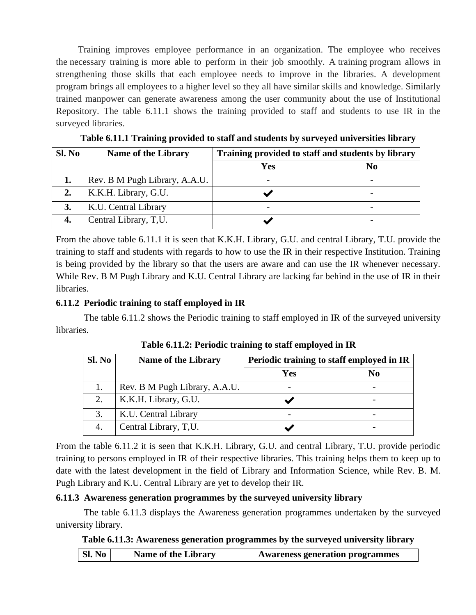Training improves employee performance in an organization. The employee who receives the necessary training is more able to perform in their job smoothly. A training program allows in strengthening those skills that each employee needs to improve in the libraries. A development program brings all employees to a higher level so they all have similar skills and knowledge. Similarly trained manpower can generate awareness among the user community about the use of Institutional Repository. The table 6.11.1 shows the training provided to staff and students to use IR in the surveyed libraries.

| Sl. No | <b>Name of the Library</b>    | Training provided to staff and students by library |                |
|--------|-------------------------------|----------------------------------------------------|----------------|
|        |                               | Yes                                                | N <sub>0</sub> |
| 1.     | Rev. B M Pugh Library, A.A.U. |                                                    |                |
| 2.     | K.K.H. Library, G.U.          |                                                    |                |
| 3.     | K.U. Central Library          |                                                    |                |
|        | Central Library, T,U.         |                                                    |                |

**Table 6.11.1 Training provided to staff and students by surveyed universities library**

From the above table 6.11.1 it is seen that K.K.H. Library, G.U. and central Library, T.U. provide the training to staff and students with regards to how to use the IR in their respective Institution. Training is being provided by the library so that the users are aware and can use the IR whenever necessary. While Rev. B M Pugh Library and K.U. Central Library are lacking far behind in the use of IR in their libraries.

#### **6.11.2 Periodic training to staff employed in IR**

The table 6.11.2 shows the Periodic training to staff employed in IR of the surveyed university libraries.

| Sl. No | <b>Name of the Library</b>    | Periodic training to staff employed in IR |                |  |
|--------|-------------------------------|-------------------------------------------|----------------|--|
|        |                               | Yes                                       | N <sub>0</sub> |  |
|        | Rev. B M Pugh Library, A.A.U. |                                           |                |  |
| 2.     | K.K.H. Library, G.U.          |                                           |                |  |
| 3.     | K.U. Central Library          |                                           |                |  |
|        | Central Library, T,U.         |                                           |                |  |

**Table 6.11.2: Periodic training to staff employed in IR**

From the table 6.11.2 it is seen that K.K.H. Library, G.U. and central Library, T.U. provide periodic training to persons employed in IR of their respective libraries. This training helps them to keep up to date with the latest development in the field of Library and Information Science, while Rev. B. M. Pugh Library and K.U. Central Library are yet to develop their IR.

#### **6.11.3 Awareness generation programmes by the surveyed university library**

The table 6.11.3 displays the Awareness generation programmes undertaken by the surveyed university library.

#### **Table 6.11.3: Awareness generation programmes by the surveyed university library**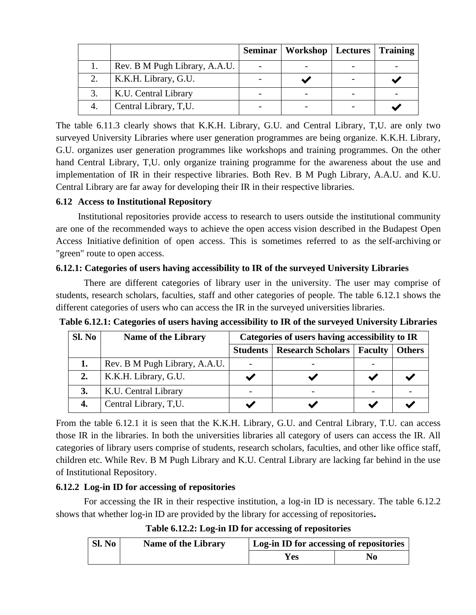|                               | Seminar   Workshop   Lectures   Training |  |
|-------------------------------|------------------------------------------|--|
| Rev. B M Pugh Library, A.A.U. |                                          |  |
| K.K.H. Library, G.U.          |                                          |  |
| K.U. Central Library          |                                          |  |
| Central Library, T,U.         |                                          |  |

The table 6.11.3 clearly shows that K.K.H. Library, G.U. and Central Library, T,U. are only two surveyed University Libraries where user generation programmes are being organize. K.K.H. Library, G.U. organizes user generation programmes like workshops and training programmes. On the other hand Central Library, T,U. only organize training programme for the awareness about the use and implementation of IR in their respective libraries. Both Rev. B M Pugh Library, A.A.U. and K.U. Central Library are far away for developing their IR in their respective libraries.

#### **6.12 Access to Institutional Repository**

Institutional repositories provide access to research to users outside the institutional community are one of the recommended ways to achieve the [open access](https://en.wikipedia.org/wiki/Open_access) vision described in the [Budapest Open](https://en.wikipedia.org/wiki/Budapest_Open_Access_Initiative)  [Access Initiative](https://en.wikipedia.org/wiki/Budapest_Open_Access_Initiative) definition of open access. This is sometimes referred to as the [self-archiving](https://en.wikipedia.org/wiki/Self-archiving) or "green" route to open access.

#### **6.12.1: Categories of users having accessibility to IR of the surveyed University Libraries**

There are different categories of library user in the university. The user may comprise of students, research scholars, faculties, staff and other categories of people. The table 6.12.1 shows the different categories of users who can access the IR in the surveyed universities libraries.

| Sl. No | <b>Name of the Library</b>    | Categories of users having accessibility to IR |                          |                |               |  |
|--------|-------------------------------|------------------------------------------------|--------------------------|----------------|---------------|--|
|        |                               | <b>Students</b>                                | <b>Research Scholars</b> | <b>Faculty</b> | <b>Others</b> |  |
| ı.     | Rev. B M Pugh Library, A.A.U. |                                                |                          |                |               |  |
| 2.     | K.K.H. Library, G.U.          |                                                |                          |                |               |  |
|        | K.U. Central Library          |                                                |                          |                |               |  |
| 4.     | Central Library, T,U.         |                                                |                          |                |               |  |

**Table 6.12.1: Categories of users having accessibility to IR of the surveyed University Libraries**

From the table 6.12.1 it is seen that the K.K.H. Library, G.U. and Central Library, T.U. can access those IR in the libraries. In both the universities libraries all category of users can access the IR. All categories of library users comprise of students, research scholars, faculties, and other like office staff, children etc. While Rev. B M Pugh Library and K.U. Central Library are lacking far behind in the use of Institutional Repository.

#### **6.12.2 Log-in ID for accessing of repositories**

For accessing the IR in their respective institution, a log-in ID is necessary. The table 6.12.2 shows that whether log-in ID are provided by the library for accessing of repositories**.**

**Table 6.12.2: Log-in ID for accessing of repositories**

| Sl. No | <b>Name of the Library</b> | Log-in ID for accessing of repositories |    |  |
|--------|----------------------------|-----------------------------------------|----|--|
|        |                            | Y es                                    | No |  |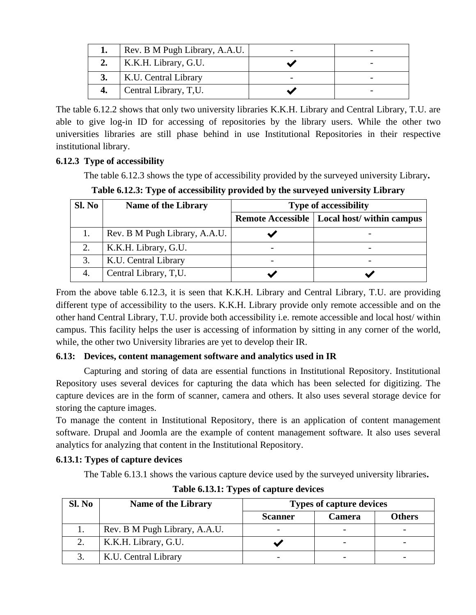|    | Rev. B M Pugh Library, A.A.U. |  |
|----|-------------------------------|--|
|    | K.K.H. Library, G.U.          |  |
|    | K.U. Central Library          |  |
| 4. | Central Library, T,U.         |  |

The table 6.12.2 shows that only two university libraries K.K.H. Library and Central Library, T.U. are able to give log-in ID for accessing of repositories by the library users. While the other two universities libraries are still phase behind in use Institutional Repositories in their respective institutional library.

## **6.12.3 Type of accessibility**

The table 6.12.3 shows the type of accessibility provided by the surveyed university Library**.**

**Table 6.12.3: Type of accessibility provided by the surveyed university Library**

| Sl. No | <b>Name of the Library</b>    | <b>Type of accessibility</b>                  |
|--------|-------------------------------|-----------------------------------------------|
|        |                               | Remote Accessible   Local host/ within campus |
|        | Rev. B M Pugh Library, A.A.U. |                                               |
|        | K.K.H. Library, G.U.          |                                               |
| 3.     | K.U. Central Library          |                                               |
|        | Central Library, T,U.         |                                               |

From the above table 6.12.3, it is seen that K.K.H. Library and Central Library, T.U. are providing different type of accessibility to the users. K.K.H. Library provide only remote accessible and on the other hand Central Library, T.U. provide both accessibility i.e. remote accessible and local host/ within campus. This facility helps the user is accessing of information by sitting in any corner of the world, while, the other two University libraries are yet to develop their IR.

#### **6.13: Devices, content management software and analytics used in IR**

Capturing and storing of data are essential functions in Institutional Repository. Institutional Repository uses several devices for capturing the data which has been selected for digitizing. The capture devices are in the form of scanner, camera and others. It also uses several storage device for storing the capture images.

To manage the content in Institutional Repository, there is an application of content management software. Drupal and Joomla are the example of content management software. It also uses several analytics for analyzing that content in the Institutional Repository.

## **6.13.1: Types of capture devices**

The Table 6.13.1 shows the various capture device used by the surveyed university libraries**.**

| Sl. No | <b>Name of the Library</b>    | <b>Types of capture devices</b> |               |               |
|--------|-------------------------------|---------------------------------|---------------|---------------|
|        |                               | <b>Scanner</b>                  | <b>Camera</b> | <b>Others</b> |
|        | Rev. B M Pugh Library, A.A.U. | $\overline{\phantom{0}}$        |               |               |
|        | K.K.H. Library, G.U.          |                                 |               |               |
|        | K.U. Central Library          |                                 |               |               |

**Table 6.13.1: Types of capture devices**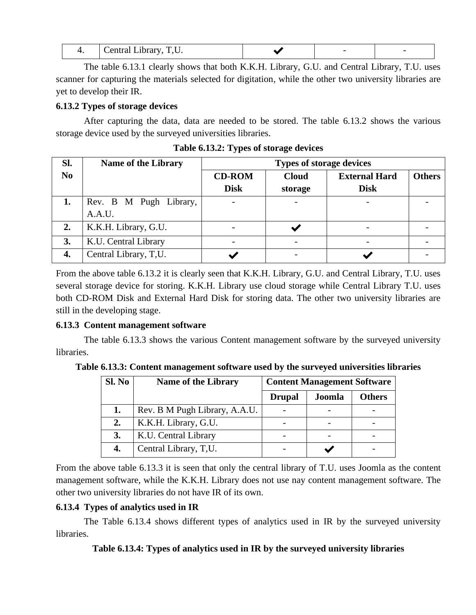|  | TTT<br>المستحدث والمناد<br>$-$<br>$\overline{\phantom{a}}$ |  |  |  |
|--|------------------------------------------------------------|--|--|--|
|--|------------------------------------------------------------|--|--|--|

The table 6.13.1 clearly shows that both K.K.H. Library, G.U. and Central Library, T.U. uses scanner for capturing the materials selected for digitation, while the other two university libraries are yet to develop their IR.

#### **6.13.2 Types of storage devices**

After capturing the data, data are needed to be stored. The table 6.13.2 shows the various storage device used by the surveyed universities libraries.

| Sl.            | <b>Name of the Library</b>       |                              | <b>Types of storage devices</b> |                                     |               |
|----------------|----------------------------------|------------------------------|---------------------------------|-------------------------------------|---------------|
| N <sub>0</sub> |                                  | <b>CD-ROM</b><br><b>Disk</b> | <b>Cloud</b><br>storage         | <b>External Hard</b><br><b>Disk</b> | <b>Others</b> |
| 1.             | Rev. B M Pugh Library,<br>A.A.U. | $\overline{\phantom{a}}$     |                                 |                                     |               |
| 2.             | K.K.H. Library, G.U.             |                              |                                 |                                     |               |
| 3.             | K.U. Central Library             |                              |                                 |                                     |               |
| 4.             | Central Library, T,U.            |                              |                                 |                                     |               |

**Table 6.13.2: Types of storage devices**

From the above table 6.13.2 it is clearly seen that K.K.H. Library, G.U. and Central Library, T.U. uses several storage device for storing. K.K.H. Library use cloud storage while Central Library T.U. uses both CD-ROM Disk and External Hard Disk for storing data. The other two university libraries are still in the developing stage.

#### **6.13.3 Content management software**

The table 6.13.3 shows the various Content management software by the surveyed university libraries.

**Table 6.13.3: Content management software used by the surveyed universities libraries**

| Sl. No | <b>Name of the Library</b>    | <b>Content Management Software</b> |        |               |  |
|--------|-------------------------------|------------------------------------|--------|---------------|--|
|        |                               | <b>Drupal</b>                      | Joomla | <b>Others</b> |  |
| 1.     | Rev. B M Pugh Library, A.A.U. |                                    |        |               |  |
| 2.     | K.K.H. Library, G.U.          |                                    |        |               |  |
| 3.     | K.U. Central Library          |                                    |        |               |  |
| 4.     | Central Library, T,U.         |                                    |        |               |  |

From the above table 6.13.3 it is seen that only the central library of T.U. uses Joomla as the content management software, while the K.K.H. Library does not use nay content management software. The other two university libraries do not have IR of its own.

#### **6.13.4 Types of analytics used in IR**

The Table 6.13.4 shows different types of analytics used in IR by the surveyed university libraries.

#### **Table 6.13.4: Types of analytics used in IR by the surveyed university libraries**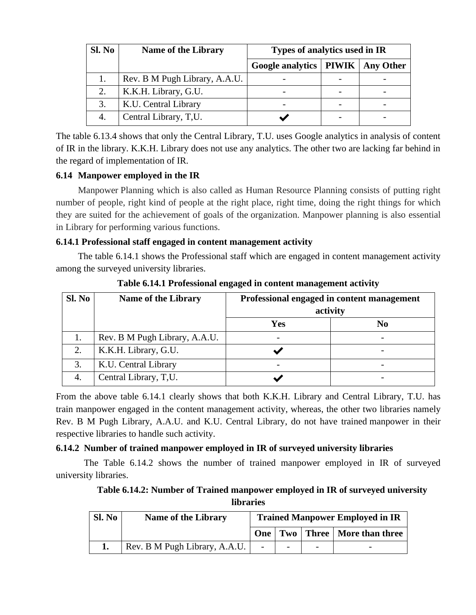| Sl. No | <b>Name of the Library</b>    | Types of analytics used in IR        |  |  |  |  |
|--------|-------------------------------|--------------------------------------|--|--|--|--|
|        |                               | Google analytics   PIWIK   Any Other |  |  |  |  |
|        | Rev. B M Pugh Library, A.A.U. |                                      |  |  |  |  |
| 2.     | K.K.H. Library, G.U.          |                                      |  |  |  |  |
|        | K.U. Central Library          |                                      |  |  |  |  |
|        | Central Library, T,U.         |                                      |  |  |  |  |

The table 6.13.4 shows that only the Central Library, T.U. uses Google analytics in analysis of content of IR in the library. K.K.H. Library does not use any analytics. The other two are lacking far behind in the regard of implementation of IR.

#### **6.14 Manpower employed in the IR**

Manpower Planning which is also called as Human Resource Planning consists of putting right number of people, right kind of people at the right place, right time, doing the right things for which they are suited for the achievement of goals of the organization. Manpower planning is also essential in Library for performing various functions.

#### **6.14.1 Professional staff engaged in content management activity**

The table 6.14.1 shows the Professional staff which are engaged in content management activity among the surveyed university libraries.

| Sl. No | <b>Name of the Library</b>    | Professional engaged in content management<br>activity |                          |
|--------|-------------------------------|--------------------------------------------------------|--------------------------|
|        |                               | <b>Yes</b>                                             | N <sub>0</sub>           |
|        | Rev. B M Pugh Library, A.A.U. |                                                        | $\overline{\phantom{a}}$ |
| 2.     | K.K.H. Library, G.U.          |                                                        |                          |
| 3.     | K.U. Central Library          |                                                        |                          |
|        | Central Library, T,U.         |                                                        |                          |

**Table 6.14.1 Professional engaged in content management activity**

From the above table 6.14.1 clearly shows that both K.K.H. Library and Central Library, T.U. has train manpower engaged in the content management activity, whereas, the other two libraries namely Rev. B M Pugh Library, A.A.U. and K.U. Central Library, do not have trained manpower in their respective libraries to handle such activity.

## **6.14.2 Number of trained manpower employed in IR of surveyed university libraries**

The Table 6.14.2 shows the number of trained manpower employed in IR of surveyed university libraries.

## **Table 6.14.2: Number of Trained manpower employed in IR of surveyed university libraries**

| Sl. No | <b>Name of the Library</b>    | <b>Trained Manpower Employed in IR</b> |  |  |                                     |
|--------|-------------------------------|----------------------------------------|--|--|-------------------------------------|
|        |                               |                                        |  |  | One   Two   Three   More than three |
|        | Rev. B M Pugh Library, A.A.U. |                                        |  |  | -                                   |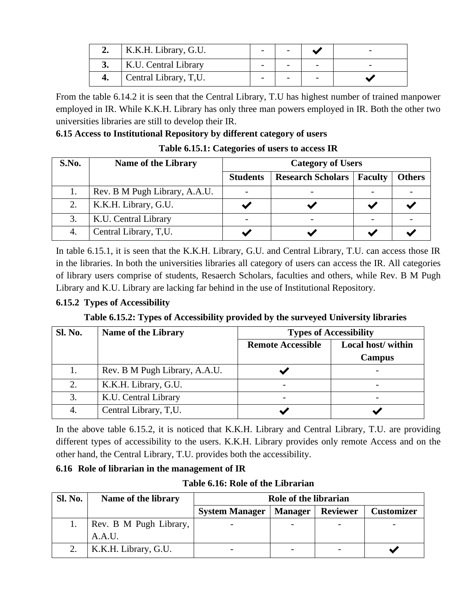| K.K.H. Library, G.U.  |  |  |
|-----------------------|--|--|
| K.U. Central Library  |  |  |
| Central Library, T,U. |  |  |

From the table 6.14.2 it is seen that the Central Library, T.U has highest number of trained manpower employed in IR. While K.K.H. Library has only three man powers employed in IR. Both the other two universities libraries are still to develop their IR.

### **6.15 Access to Institutional Repository by different category of users**

**Table 6.15.1: Categories of users to access IR**

| S.No. | <b>Name of the Library</b>    | <b>Category of Users</b> |                          |         |               |  |
|-------|-------------------------------|--------------------------|--------------------------|---------|---------------|--|
|       |                               | <b>Students</b>          | <b>Research Scholars</b> | Faculty | <b>Others</b> |  |
|       | Rev. B M Pugh Library, A.A.U. | $\overline{\phantom{0}}$ |                          |         |               |  |
|       | K.K.H. Library, G.U.          |                          |                          |         |               |  |
|       | K.U. Central Library          |                          |                          |         |               |  |
|       | Central Library, T,U.         |                          |                          |         |               |  |

In table 6.15.1, it is seen that the K.K.H. Library, G.U. and Central Library, T.U. can access those IR in the libraries. In both the universities libraries all category of users can access the IR. All categories of library users comprise of students, Resaerch Scholars, faculties and others, while Rev. B M Pugh Library and K.U. Library are lacking far behind in the use of Institutional Repository.

## **6.15.2 Types of Accessibility**

**Table 6.15.2: Types of Accessibility provided by the surveyed University libraries**

| <b>Sl. No.</b> | Name of the Library           |                          | <b>Types of Accessibility</b> |
|----------------|-------------------------------|--------------------------|-------------------------------|
|                |                               | <b>Remote Accessible</b> | Local host/within             |
|                |                               |                          | <b>Campus</b>                 |
| 1.             | Rev. B M Pugh Library, A.A.U. |                          |                               |
| 2.             | K.K.H. Library, G.U.          |                          |                               |
| 3.             | K.U. Central Library          |                          |                               |
| 4.             | Central Library, T,U.         |                          |                               |

In the above table 6.15.2, it is noticed that K.K.H. Library and Central Library, T.U. are providing different types of accessibility to the users. K.K.H. Library provides only remote Access and on the other hand, the Central Library, T.U. provides both the accessibility.

## **6.16 Role of librarian in the management of IR**

**Table 6.16: Role of the Librarian**

| Sl. No. | Name of the library    | Role of the librarian |                |                 |                   |
|---------|------------------------|-----------------------|----------------|-----------------|-------------------|
|         |                        | <b>System Manager</b> | <b>Manager</b> | <b>Reviewer</b> | <b>Customizer</b> |
|         | Rev. B M Pugh Library, |                       | -              |                 |                   |
|         | A.A.U.                 |                       |                |                 |                   |
|         | K.K.H. Library, G.U.   |                       | -              |                 |                   |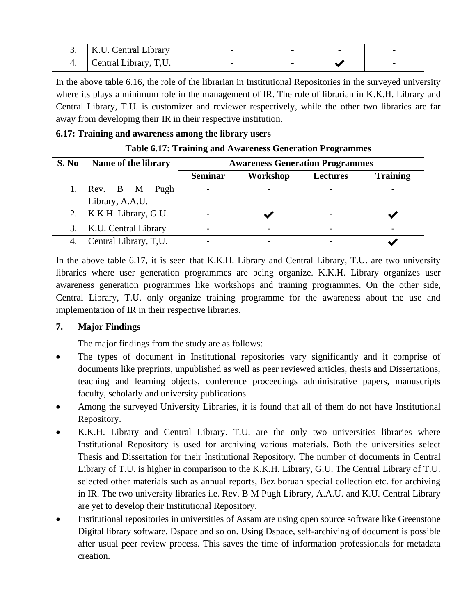|    | K.U. Central Library               |  |  |
|----|------------------------------------|--|--|
| т. | <sup>1</sup> Central Library, T,U. |  |  |

In the above table 6.16, the role of the librarian in Institutional Repositories in the surveyed university where its plays a minimum role in the management of IR. The role of librarian in K.K.H. Library and Central Library, T.U. is customizer and reviewer respectively, while the other two libraries are far away from developing their IR in their respective institution.

#### **6.17: Training and awareness among the library users**

| S. No | Name of the library   | <b>Awareness Generation Programmes</b> |          |                 |                 |  |  |
|-------|-----------------------|----------------------------------------|----------|-----------------|-----------------|--|--|
|       |                       | <b>Seminar</b>                         | Workshop | <b>Lectures</b> | <b>Training</b> |  |  |
|       | Pugh<br>Rev. B M      | $\qquad \qquad$                        |          |                 |                 |  |  |
|       | Library, A.A.U.       |                                        |          |                 |                 |  |  |
| 2.    | K.K.H. Library, G.U.  |                                        |          |                 |                 |  |  |
|       | K.U. Central Library  |                                        |          |                 |                 |  |  |
|       | Central Library, T,U. |                                        |          |                 |                 |  |  |

In the above table 6.17, it is seen that K.K.H. Library and Central Library, T.U. are two university libraries where user generation programmes are being organize. K.K.H. Library organizes user awareness generation programmes like workshops and training programmes. On the other side, Central Library, T.U. only organize training programme for the awareness about the use and implementation of IR in their respective libraries.

## **7. Major Findings**

The major findings from the study are as follows:

- The types of document in Institutional repositories vary significantly and it comprise of documents like preprints, unpublished as well as peer reviewed articles, thesis and Dissertations, teaching and learning objects, conference proceedings administrative papers, manuscripts faculty, scholarly and university publications.
- Among the surveyed University Libraries, it is found that all of them do not have Institutional Repository.
- K.K.H. Library and Central Library. T.U. are the only two universities libraries where Institutional Repository is used for archiving various materials. Both the universities select Thesis and Dissertation for their Institutional Repository. The number of documents in Central Library of T.U. is higher in comparison to the K.K.H. Library, G.U. The Central Library of T.U. selected other materials such as annual reports, Bez boruah special collection etc. for archiving in IR. The two university libraries i.e. Rev. B M Pugh Library, A.A.U. and K.U. Central Library are yet to develop their Institutional Repository.
- Institutional repositories in universities of Assam are using open source software like Greenstone Digital library software, Dspace and so on. Using Dspace, self-archiving of document is possible after usual peer review process. This saves the time of information professionals for metadata creation.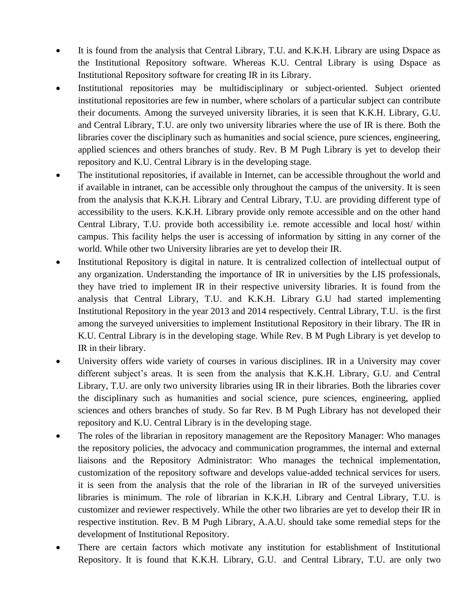- It is found from the analysis that Central Library, T.U. and K.K.H. Library are using Dspace as the Institutional Repository software. Whereas K.U. Central Library is using Dspace as Institutional Repository software for creating IR in its Library.
- Institutional repositories may be multidisciplinary or subject-oriented. Subject oriented institutional repositories are few in number, where scholars of a particular subject can contribute their documents. Among the surveyed university libraries, it is seen that K.K.H. Library, G.U. and Central Library, T.U. are only two university libraries where the use of IR is there. Both the libraries cover the disciplinary such as humanities and social science, pure sciences, engineering, applied sciences and others branches of study. Rev. B M Pugh Library is yet to develop their repository and K.U. Central Library is in the developing stage.
- The institutional repositories, if available in Internet, can be accessible throughout the world and if available in intranet, can be accessible only throughout the campus of the university. It is seen from the analysis that K.K.H. Library and Central Library, T.U. are providing different type of accessibility to the users. K.K.H. Library provide only remote accessible and on the other hand Central Library, T.U. provide both accessibility i.e. remote accessible and local host/ within campus. This facility helps the user is accessing of information by sitting in any corner of the world. While other two University libraries are yet to develop their IR.
- Institutional Repository is digital in nature. It is centralized collection of intellectual output of any organization. Understanding the importance of IR in universities by the LIS professionals, they have tried to implement IR in their respective university libraries. It is found from the analysis that Central Library, T.U. and K.K.H. Library G.U had started implementing Institutional Repository in the year 2013 and 2014 respectively. Central Library, T.U. is the first among the surveyed universities to implement Institutional Repository in their library. The IR in K.U. Central Library is in the developing stage. While Rev. B M Pugh Library is yet develop to IR in their library.
- University offers wide variety of courses in various disciplines. IR in a University may cover different subject's areas. It is seen from the analysis that K.K.H. Library, G.U. and Central Library, T.U. are only two university libraries using IR in their libraries. Both the libraries cover the disciplinary such as humanities and social science, pure sciences, engineering, applied sciences and others branches of study. So far Rev. B M Pugh Library has not developed their repository and K.U. Central Library is in the developing stage.
- The roles of the librarian in repository management are the Repository Manager: Who manages the repository policies, the advocacy and communication programmes, the internal and external liaisons and the Repository Administrator: Who manages the technical implementation, customization of the repository software and develops value-added technical services for users. it is seen from the analysis that the role of the librarian in IR of the surveyed universities libraries is minimum. The role of librarian in K.K.H. Library and Central Library, T.U. is customizer and reviewer respectively. While the other two libraries are yet to develop their IR in respective institution. Rev. B M Pugh Library, A.A.U. should take some remedial steps for the development of Institutional Repository.
- There are certain factors which motivate any institution for establishment of Institutional Repository. It is found that K.K.H. Library, G.U. and Central Library, T.U. are only two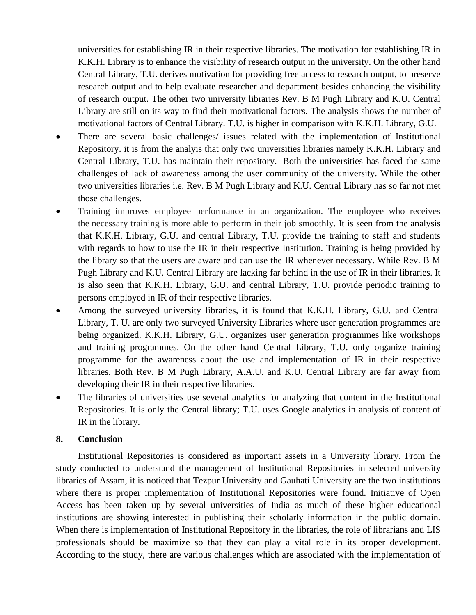universities for establishing IR in their respective libraries. The motivation for establishing IR in K.K.H. Library is to enhance the visibility of research output in the university. On the other hand Central Library, T.U. derives motivation for providing free access to research output, to preserve research output and to help evaluate researcher and department besides enhancing the visibility of research output. The other two university libraries Rev. B M Pugh Library and K.U. Central Library are still on its way to find their motivational factors. The analysis shows the number of motivational factors of Central Library. T.U. is higher in comparison with K.K.H. Library, G.U.

- There are several basic challenges/ issues related with the implementation of Institutional Repository. it is from the analyis that only two universities libraries namely K.K.H. Library and Central Library, T.U. has maintain their repository. Both the universities has faced the same challenges of lack of awareness among the user community of the university. While the other two universities libraries i.e. Rev. B M Pugh Library and K.U. Central Library has so far not met those challenges.
- Training improves employee performance in an organization. The employee who receives the necessary training is more able to perform in their job smoothly. It is seen from the analysis that K.K.H. Library, G.U. and central Library, T.U. provide the training to staff and students with regards to how to use the IR in their respective Institution. Training is being provided by the library so that the users are aware and can use the IR whenever necessary. While Rev. B M Pugh Library and K.U. Central Library are lacking far behind in the use of IR in their libraries. It is also seen that K.K.H. Library, G.U. and central Library, T.U. provide periodic training to persons employed in IR of their respective libraries.
- Among the surveyed university libraries, it is found that K.K.H. Library, G.U. and Central Library, T. U. are only two surveyed University Libraries where user generation programmes are being organized. K.K.H. Library, G.U. organizes user generation programmes like workshops and training programmes. On the other hand Central Library, T.U. only organize training programme for the awareness about the use and implementation of IR in their respective libraries. Both Rev. B M Pugh Library, A.A.U. and K.U. Central Library are far away from developing their IR in their respective libraries.
- The libraries of universities use several analytics for analyzing that content in the Institutional Repositories. It is only the Central library; T.U. uses Google analytics in analysis of content of IR in the library.

#### **8. Conclusion**

Institutional Repositories is considered as important assets in a University library. From the study conducted to understand the management of Institutional Repositories in selected university libraries of Assam, it is noticed that Tezpur University and Gauhati University are the two institutions where there is proper implementation of Institutional Repositories were found. Initiative of Open Access has been taken up by several universities of India as much of these higher educational institutions are showing interested in publishing their scholarly information in the public domain. When there is implementation of Institutional Repository in the libraries, the role of librarians and LIS professionals should be maximize so that they can play a vital role in its proper development. According to the study, there are various challenges which are associated with the implementation of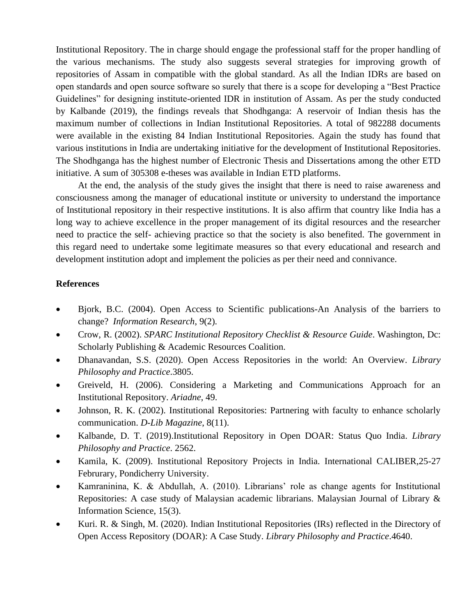Institutional Repository. The in charge should engage the professional staff for the proper handling of the various mechanisms. The study also suggests several strategies for improving growth of repositories of Assam in compatible with the global standard. As all the Indian IDRs are based on open standards and open source software so surely that there is a scope for developing a "Best Practice Guidelines" for designing institute-oriented IDR in institution of Assam. As per the study conducted by Kalbande (2019), the findings reveals that Shodhganga: A reservoir of Indian thesis has the maximum number of collections in Indian Institutional Repositories. A total of 982288 documents were available in the existing 84 Indian Institutional Repositories. Again the study has found that various institutions in India are undertaking initiative for the development of Institutional Repositories. The Shodhganga has the highest number of Electronic Thesis and Dissertations among the other ETD initiative. A sum of 305308 e-theses was available in Indian ETD platforms.

At the end, the analysis of the study gives the insight that there is need to raise awareness and consciousness among the manager of educational institute or university to understand the importance of Institutional repository in their respective institutions. It is also affirm that country like India has a long way to achieve excellence in the proper management of its digital resources and the researcher need to practice the self- achieving practice so that the society is also benefited. The government in this regard need to undertake some legitimate measures so that every educational and research and development institution adopt and implement the policies as per their need and connivance.

#### **References**

- Bjork, B.C. (2004). Open Access to Scientific publications-An Analysis of the barriers to change? *Information Research*, 9(2).
- Crow, R. (2002). *SPARC Institutional Repository Checklist & Resource Guide*. Washington, Dc: Scholarly Publishing & Academic Resources Coalition.
- Dhanavandan, S.S. (2020). Open Access Repositories in the world: An Overview. *Library Philosophy and Practice*.3805.
- Greiveld, H. (2006). Considering a Marketing and Communications Approach for an Institutional Repository. *Ariadne*, 49.
- Johnson, R. K. (2002). Institutional Repositories: Partnering with faculty to enhance scholarly communication. *D-Lib Magazine*, 8(11).
- Kalbande, D. T. (2019).Institutional Repository in Open DOAR: Status Quo India. *Library Philosophy and Practice*. 2562.
- Kamila, K. (2009). Institutional Repository Projects in India. International CALIBER,25-27 Februrary, Pondicherry University.
- Kamraninina, K. & Abdullah, A. (2010). Librarians' role as change agents for Institutional Repositories: A case study of Malaysian academic librarians. Malaysian Journal of Library & Information Science, 15(3).
- Kuri. R. & Singh, M. (2020). Indian Institutional Repositories (IRs) reflected in the Directory of Open Access Repository (DOAR): A Case Study. *Library Philosophy and Practice*.4640.